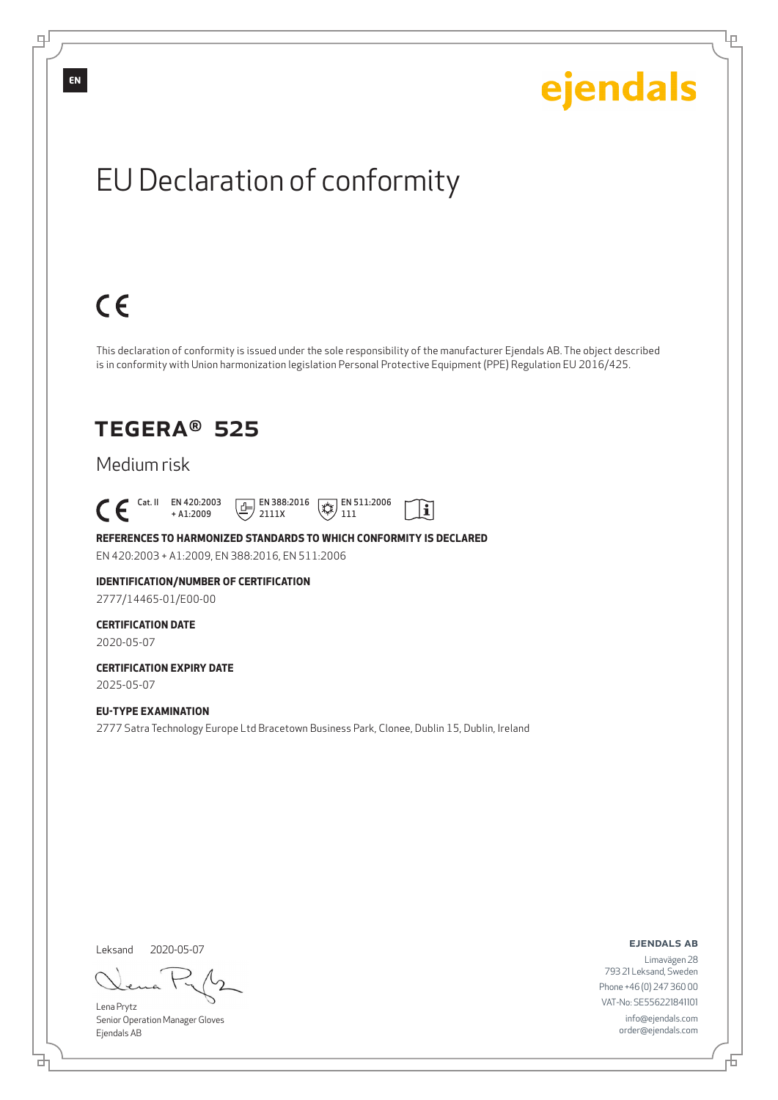Ļμ

# EU Declaration of conformity

# $C \in$

This declaration of conformity is issued under the sole responsibility of the manufacturer Ejendals AB. The object described is in conformity with Union harmonization legislation Personal Protective Equipment (PPE) Regulation EU 2016/425.

 $\mathbf{i}$ 

## TEGERA® 525

#### Medium risk

 $\begin{bmatrix} \mathsf{Cat} & \mathsf{II} & \mathsf{EN} & 420:2003 \\ + & 41:2009 \end{bmatrix}$ + A1:2009  $E$  EN 388:2016 2111X  $\mathbb{R}$  EN 511:2006 111

#### **REFERENCES TO HARMONIZED STANDARDS TO WHICH CONFORMITY IS DECLARED** EN 420:2003 + A1:2009, EN 388:2016, EN 511:2006

#### **IDENTIFICATION/NUMBER OF CERTIFICATION** 2777/14465-01/E00-00

#### **CERTIFICATION DATE**

2020-05-07

#### **CERTIFICATION EXPIRY DATE** 2025-05-07

**EU-TYPE EXAMINATION** 2777 Satra Technology Europe Ltd Bracetown Business Park, Clonee, Dublin 15, Dublin, Ireland

Leksand 2020-05-07

<u>다</u>

Lena Prytz Senior Operation Manager Gloves Ejendals AB

ejendals ab

Limavägen 28 793 21 Leksand, Sweden Phone +46 (0) 247 360 00 VAT-No: SE556221841101 info@ejendals.com order@ejendals.com

**EN**

டி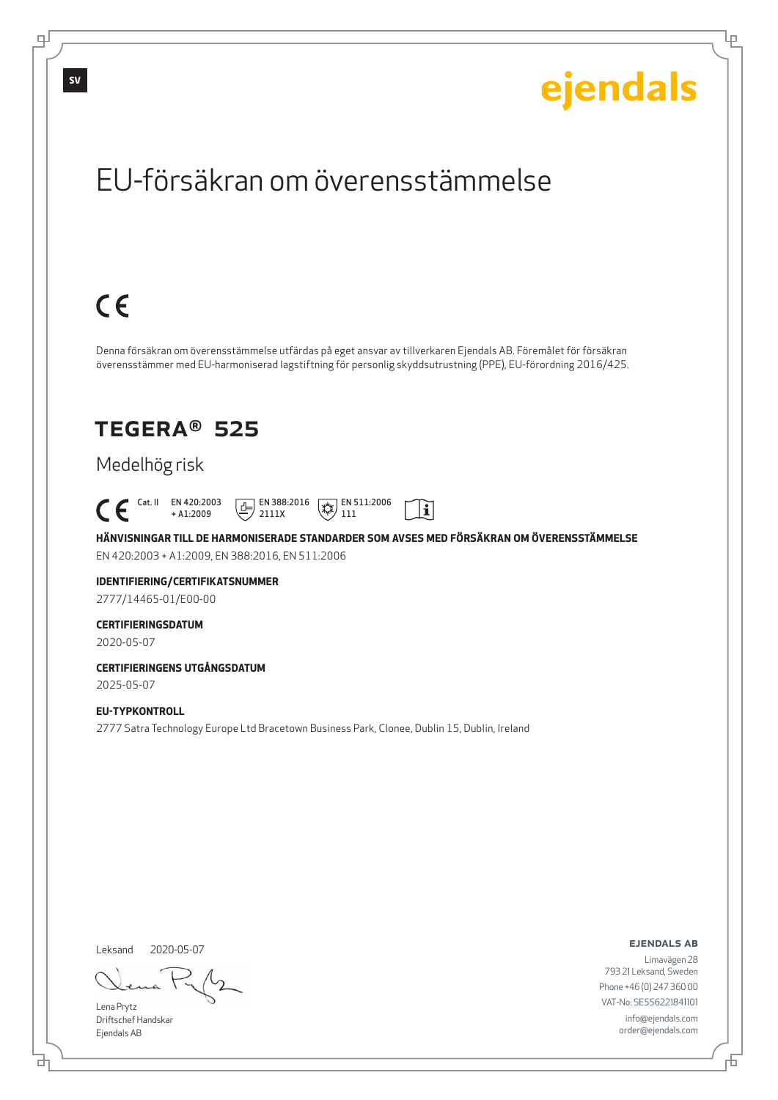Ļμ

## EU-försäkran om överensstämmelse

# $C \in$

Denna försäkran om överensstämmelse utfärdas på eget ansvar av tillverkaren Ejendals AB. Föremålet för försäkran överensstämmer med EU-harmoniserad lagstiftning för personlig skyddsutrustning (PPE), EU-förordning 2016/425.

## TEGERA® 525

### Medelhög risk

 $\begin{bmatrix} \mathsf{Cat} & \mathsf{II} & \mathsf{EN} & 420:2003 \\ + & 41:2009 \end{bmatrix}$ + A1:2009  $\boxed{1}$  EN 388:2016 2111X  $\mathbb{R}$  EN 511:2006 111

**HÄNVISNINGAR TILL DE HARMONISERADE STANDARDER SOM AVSES MED FÖRSÄKRAN OM ÖVERENSSTÄMMELSE** EN 420:2003 + A1:2009, EN 388:2016, EN 511:2006

 $|\tilde{\mathbf{i}}|$ 

### **IDENTIFIERING/CERTIFIKATSNUMMER**

2777/14465-01/E00-00

#### **CERTIFIERINGSDATUM**

2020-05-07

#### **CERTIFIERINGENS UTGÅNGSDATUM** 2025-05-07

#### **EU-TYPKONTROLL**

2777 Satra Technology Europe Ltd Bracetown Business Park, Clonee, Dublin 15, Dublin, Ireland

Leksand 2020-05-07

Lena Prytz Driftschef Handskar Ejendals AB

<u>다</u>

ejendals ab

Đ

Limavägen 28 793 21 Leksand, Sweden Phone +46 (0) 247 360 00 VAT-No: SE556221841101 info@ejendals.com order@ejendals.com

டி

**SV**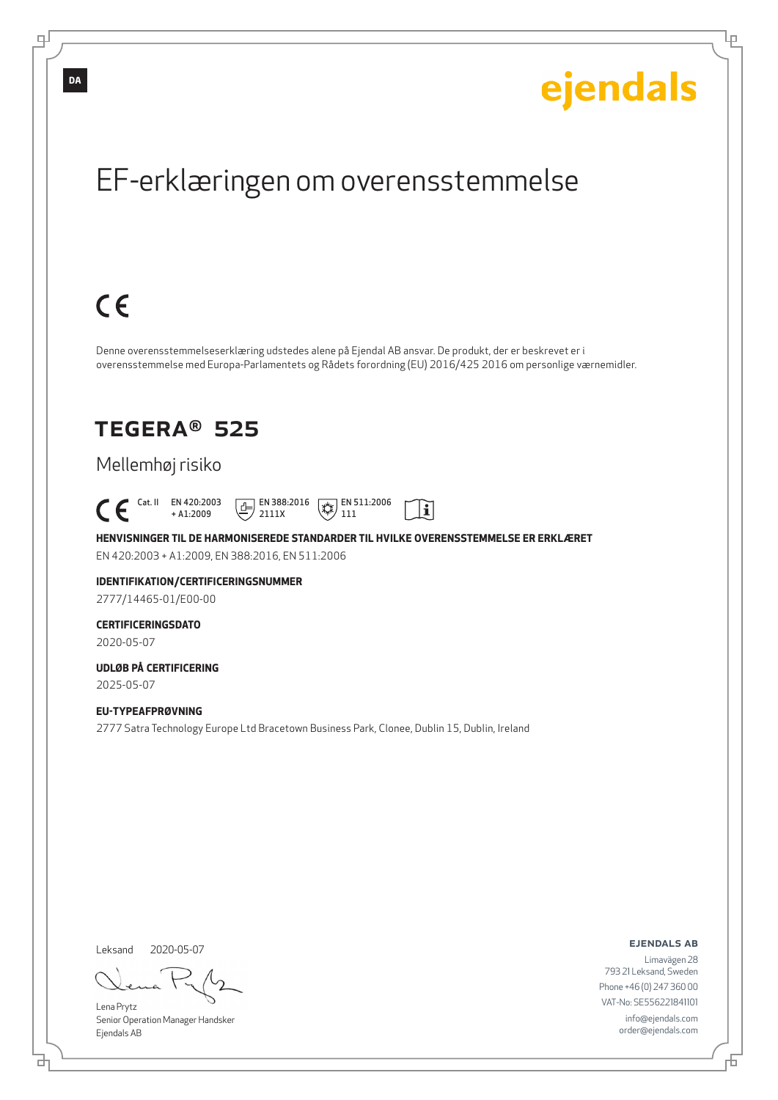Ļμ

## EF-erklæringen om overensstemmelse

# $C \in$

Denne overensstemmelseserklæring udstedes alene på Ejendal AB ansvar. De produkt, der er beskrevet er i overensstemmelse med Europa-Parlamentets og Rådets forordning (EU) 2016/425 2016 om personlige værnemidler.

## TEGERA® 525

### Mellemhøj risiko

 Cat. II EN 420:2003 + A1:2009  $E$  EN 388:2016 2111X  $\mathbb{R}$  EN 511:2006 111

**HENVISNINGER TIL DE HARMONISEREDE STANDARDER TIL HVILKE OVERENSSTEMMELSE ER ERKLÆRET** EN 420:2003 + A1:2009, EN 388:2016, EN 511:2006

 $|\tilde{\mathbf{i}}|$ 

### **IDENTIFIKATION/CERTIFICERINGSNUMMER**

2777/14465-01/E00-00

#### **CERTIFICERINGSDATO**

2020-05-07

#### **UDLØB PÅ CERTIFICERING** 2025-05-07

**EU-TYPEAFPRØVNING** 2777 Satra Technology Europe Ltd Bracetown Business Park, Clonee, Dublin 15, Dublin, Ireland

Leksand 2020-05-07

브

Lena Prytz Senior Operation Manager Handsker Ejendals AB

ejendals ab

Đ

Limavägen 28 793 21 Leksand, Sweden Phone +46 (0) 247 360 00 VAT-No: SE556221841101 info@ejendals.com order@ejendals.com

**DA**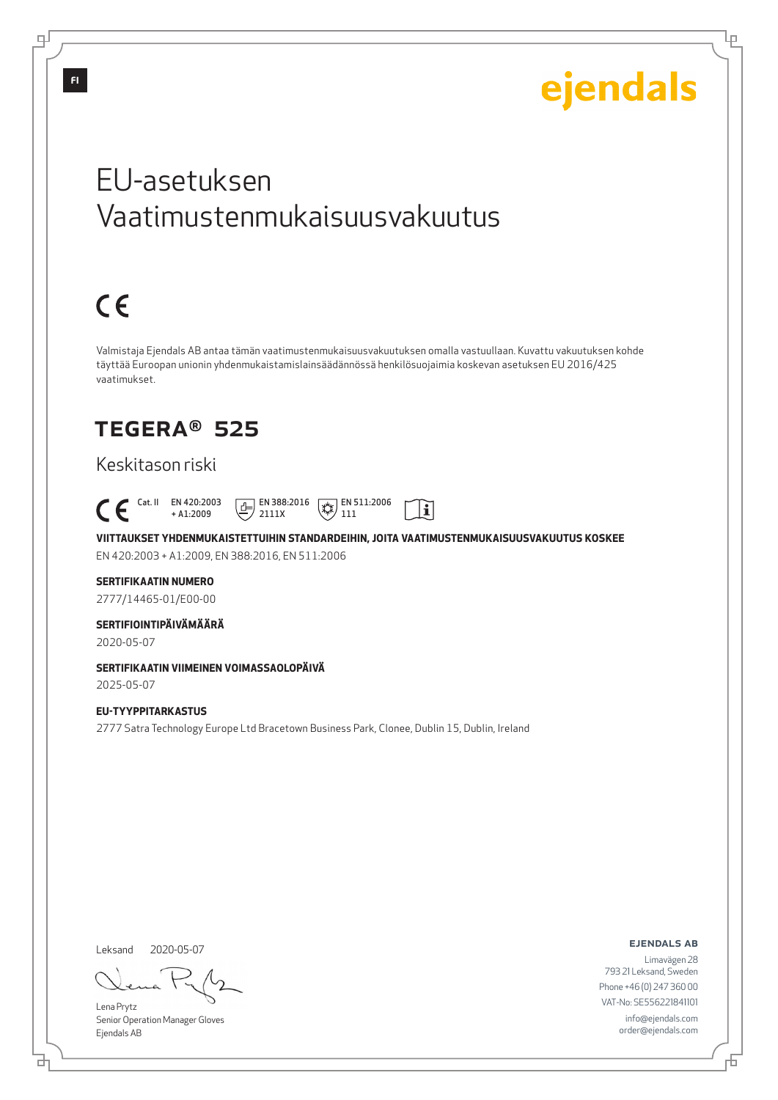Lμ

## EU-asetuksen Vaatimustenmukaisuusvakuutus

# $C \in$

Valmistaja Ejendals AB antaa tämän vaatimustenmukaisuusvakuutuksen omalla vastuullaan. Kuvattu vakuutuksen kohde täyttää Euroopan unionin yhdenmukaistamislainsäädännössä henkilösuojaimia koskevan asetuksen EU 2016/425 vaatimukset.

## TEGERA® 525

#### Keskitason riski

 Cat. II EN 420:2003  $\boxed{E}$  EN 388:2016  $\mathbb{R}$  EN 511:2006  $|\tilde{\mathbf{i}}|$ + A1:2009 2111X 111

**VIITTAUKSET YHDENMUKAISTETTUIHIN STANDARDEIHIN, JOITA VAATIMUSTENMUKAISUUSVAKUUTUS KOSKEE** EN 420:2003 + A1:2009, EN 388:2016, EN 511:2006

#### **SERTIFIKAATIN NUMERO**

2777/14465-01/E00-00

#### **SERTIFIOINTIPÄIVÄMÄÄRÄ**

2020-05-07

### **SERTIFIKAATIN VIIMEINEN VOIMASSAOLOPÄIVÄ**

2025-05-07

#### **EU-TYYPPITARKASTUS** 2777 Satra Technology Europe Ltd Bracetown Business Park, Clonee, Dublin 15, Dublin, Ireland

Leksand 2020-05-07

브

Lena Prytz Senior Operation Manager Gloves Ejendals AB

ejendals ab

Đ

Limavägen 28 793 21 Leksand, Sweden Phone +46 (0) 247 360 00 VAT-No: SE556221841101 info@ejendals.com order@ejendals.com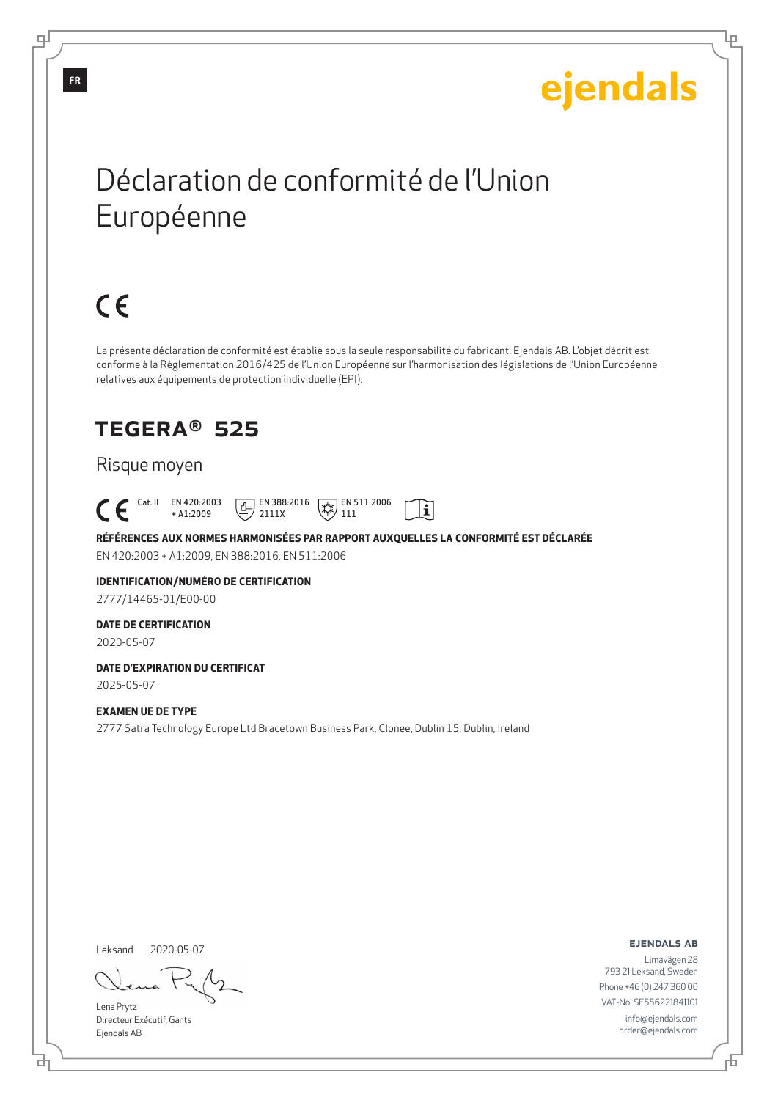Ļμ

## Déclaration de conformité de l'Union Européenne

# $C \in$

La présente déclaration de conformité est établie sous la seule responsabilité du fabricant, Ejendals AB. L'objet décrit est conforme à la Règlementation 2016/425 de l'Union Européenne sur l'harmonisation des législations de l'Union Européenne relatives aux équipements de protection individuelle (EPI).

## TEGERA® 525

#### Risque moyen

 Cat. II EN 420:2003  $E$  EN 388:2016  $\mathbb{R}$  EN 511:2006  $|\tilde{\mathbf{i}}|$ + A1:2009 2111X 111

**RÉFÉRENCES AUX NORMES HARMONISÉES PAR RAPPORT AUXQUELLES LA CONFORMITÉ EST DÉCLARÉE** EN 420:2003 + A1:2009, EN 388:2016, EN 511:2006

## **IDENTIFICATION/NUMÉRO DE CERTIFICATION**

2777/14465-01/E00-00

#### **DATE DE CERTIFICATION**

2020-05-07

#### **DATE D'EXPIRATION DU CERTIFICAT** 2025-05-07

**EXAMEN UE DE TYPE**

2777 Satra Technology Europe Ltd Bracetown Business Park, Clonee, Dublin 15, Dublin, Ireland

Leksand 2020-05-07

Lena Prytz Directeur Exécutif, Gants Ejendals AB

ejendals ab

Б

Limavägen 28 793 21 Leksand, Sweden Phone +46 (0) 247 360 00 VAT-No: SE556221841101 info@ejendals.com order@ejendals.com

டி

<u>다</u>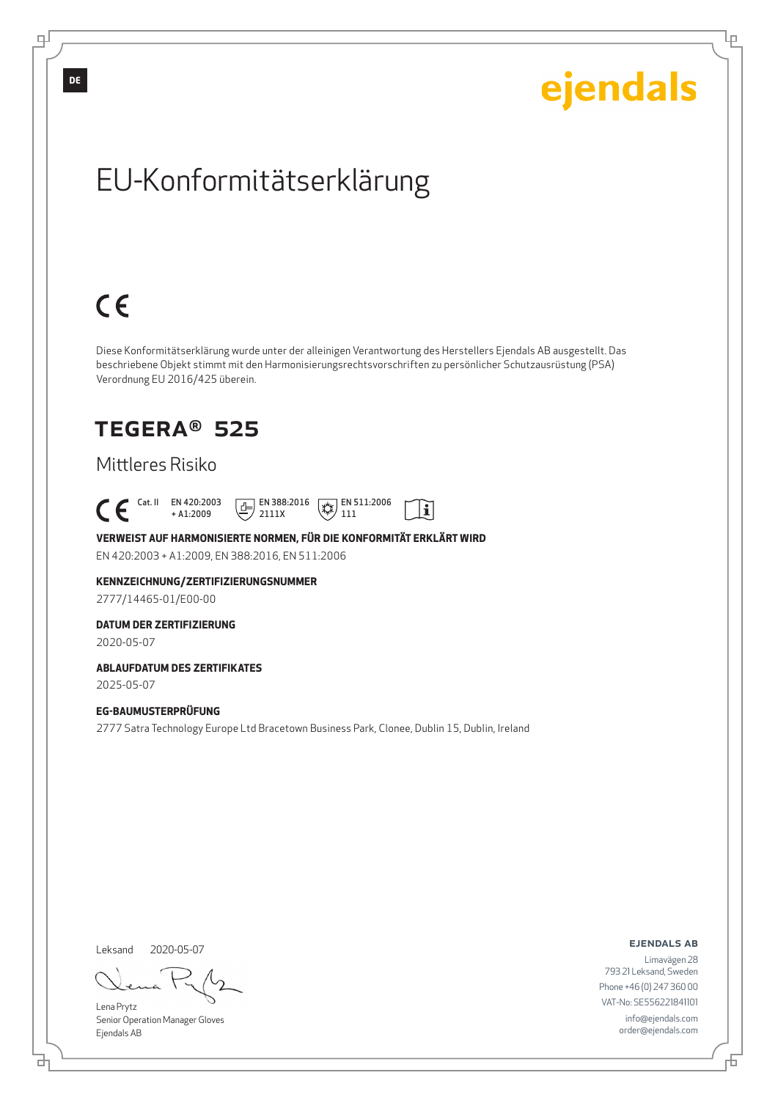Ļμ

# EU-Konformitätserklärung

# $C \in$

Diese Konformitätserklärung wurde unter der alleinigen Verantwortung des Herstellers Ejendals AB ausgestellt. Das beschriebene Objekt stimmt mit den Harmonisierungsrechtsvorschriften zu persönlicher Schutzausrüstung (PSA) Verordnung EU 2016/425 überein.

## TEGERA® 525

#### Mittleres Risiko

 Cat. II EN 420:2003  $E$  EN 388:2016  $\mathbb{R}$  EN 511:2006  $|\tilde{\mathbf{i}}|$ + A1:2009 2111X 111

#### **VERWEIST AUF HARMONISIERTE NORMEN, FÜR DIE KONFORMITÄT ERKLÄRT WIRD** EN 420:2003 + A1:2009, EN 388:2016, EN 511:2006

#### **KENNZEICHNUNG/ZERTIFIZIERUNGSNUMMER**

2777/14465-01/E00-00

#### **DATUM DER ZERTIFIZIERUNG**

2020-05-07

#### **ABLAUFDATUM DES ZERTIFIKATES**

2025-05-07

#### **EG-BAUMUSTERPRÜFUNG**

2777 Satra Technology Europe Ltd Bracetown Business Park, Clonee, Dublin 15, Dublin, Ireland

Leksand 2020-05-07

<u>다</u>

Lena Prytz Senior Operation Manager Gloves Ejendals AB

ejendals ab

Đ

Limavägen 28 793 21 Leksand, Sweden Phone +46 (0) 247 360 00 VAT-No: SE556221841101 info@ejendals.com order@ejendals.com

**DE**

∓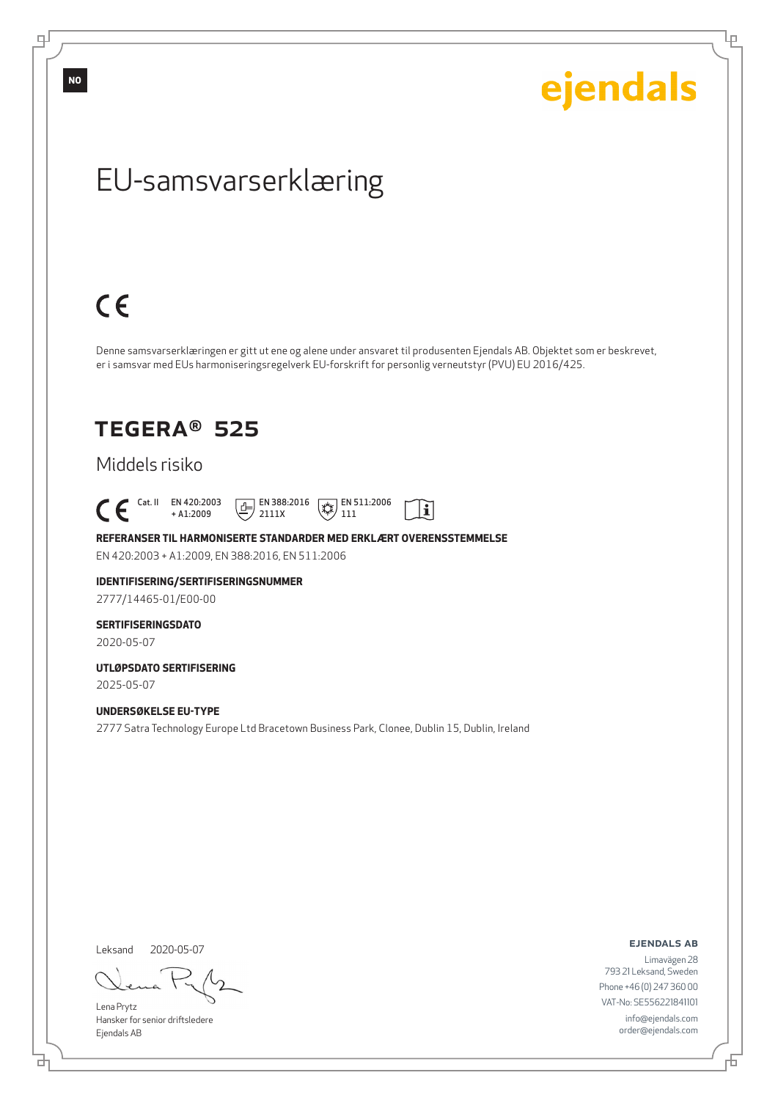டி

ejendals

Ļμ

## EU-samsvarserklæring

# $C \in$

Denne samsvarserklæringen er gitt ut ene og alene under ansvaret til produsenten Ejendals AB. Objektet som er beskrevet, er i samsvar med EUs harmoniseringsregelverk EU-forskrift for personlig verneutstyr (PVU) EU 2016/425.

 $|\tilde{\mathbf{i}}|$ 

## TEGERA® 525

#### Middels risiko

 $\begin{bmatrix} \begin{array}{ccc} \text{Cat. II} & \text{EN } 420:2003 \\ + \text{A1:2009} \end{array} \end{bmatrix}$ + A1:2009  $\boxed{1}$  EN 388:2016 2111X  $\mathbb{R}$  EN 511:2006 111

**REFERANSER TIL HARMONISERTE STANDARDER MED ERKLÆRT OVERENSSTEMMELSE** EN 420:2003 + A1:2009, EN 388:2016, EN 511:2006

## **IDENTIFISERING/SERTIFISERINGSNUMMER**

2777/14465-01/E00-00

#### **SERTIFISERINGSDATO**

2020-05-07

#### **UTLØPSDATO SERTIFISERING** 2025-05-07

**UNDERSØKELSE EU-TYPE**

2777 Satra Technology Europe Ltd Bracetown Business Park, Clonee, Dublin 15, Dublin, Ireland

Leksand 2020-05-07

<u>다</u>

Lena Prytz Hansker for senior driftsledere Ejendals AB

ejendals ab

Limavägen 28 793 21 Leksand, Sweden Phone +46 (0) 247 360 00 VAT-No: SE556221841101 info@ejendals.com order@ejendals.com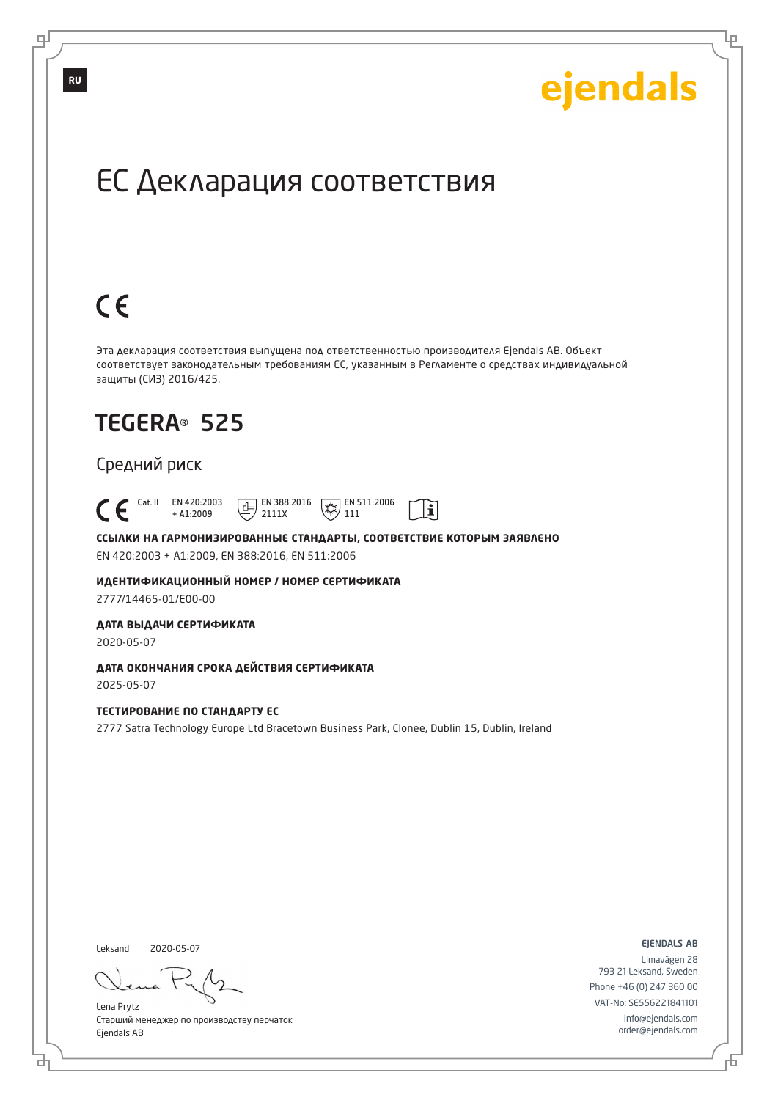Ļμ

## ЕС Декларация соответствия

# $C \in$

Эта декларация соответствия выпущена под ответственностью производителя Ejendals AB. Объект соответствует законодательным требованиям ЕС, указанным в Регламенте о средствах индивидуальной защиты (СИЗ) 2016/425.

 $|\tilde{\mathbf{i}}|$ 

## TEGERA® 525

#### Средний риск

 Cat. II EN 420:2003 + A1:2009  $\boxed{E}$  EN 388:2016 2111X  $\overline{**}$  EN 511:2006 111

**ССЫЛКИ НА ГАРМОНИЗИРОВАННЫЕ СТАНДАРТЫ, СООТВЕТСТВИЕ КОТОРЫМ ЗАЯВЛЕНО** EN 420:2003 + A1:2009, EN 388:2016, EN 511:2006

**ИДЕНТИФИКАЦИОННЫЙ НОМЕР / НОМЕР СЕРТИФИКАТА** 2777/14465-01/E00-00

**ДАТА ВЫДАЧИ СЕРТИФИКАТА**

2020-05-07

**ДАТА ОКОНЧАНИЯ СРОКА ДЕЙСТВИЯ СЕРТИФИКАТА** 2025-05-07

#### **ТЕСТИРОВАНИЕ ПО СТАНДАРТУ ЕС**

2777 Satra Technology Europe Ltd Bracetown Business Park, Clonee, Dublin 15, Dublin, Ireland

Leksand 2020-05-07

브

Lena Prytz Старший менеджер по производству перчаток Ejendals AB

ejendals ab

Đ

Limavägen 28 793 21 Leksand, Sweden Phone +46 (0) 247 360 00 VAT-No: SE556221841101 info@ejendals.com order@ejendals.com

டி

**RU**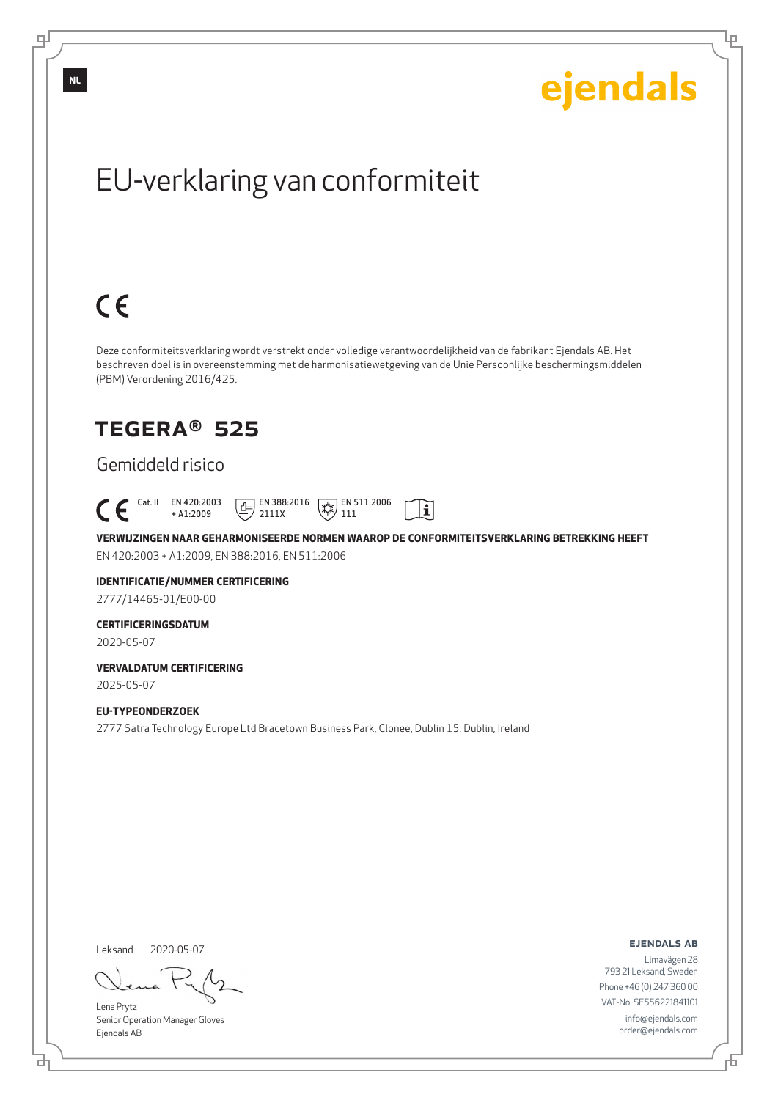Ļμ

# EU-verklaring van conformiteit

# $C \in$

Deze conformiteitsverklaring wordt verstrekt onder volledige verantwoordelijkheid van de fabrikant Ejendals AB. Het beschreven doel is in overeenstemming met de harmonisatiewetgeving van de Unie Persoonlijke beschermingsmiddelen (PBM) Verordening 2016/425.

## TEGERA® 525

### Gemiddeld risico

 Cat. II EN 420:2003  $\boxed{E}$  EN 388:2016  $\mathbb{R}$  EN 511:2006  $\mathbf{i}$ + A1:2009 2111X 111

**VERWIJZINGEN NAAR GEHARMONISEERDE NORMEN WAAROP DE CONFORMITEITSVERKLARING BETREKKING HEEFT** EN 420:2003 + A1:2009, EN 388:2016, EN 511:2006

### **IDENTIFICATIE/NUMMER CERTIFICERING**

2777/14465-01/E00-00

#### **CERTIFICERINGSDATUM**

2020-05-07

#### **VERVALDATUM CERTIFICERING** 2025-05-07

**EU-TYPEONDERZOEK** 2777 Satra Technology Europe Ltd Bracetown Business Park, Clonee, Dublin 15, Dublin, Ireland

Leksand 2020-05-07

<u>다</u>

Lena Prytz Senior Operation Manager Gloves Ejendals AB

ejendals ab

Limavägen 28 793 21 Leksand, Sweden Phone +46 (0) 247 360 00 VAT-No: SE556221841101 info@ejendals.com order@ejendals.com

**NL**

டி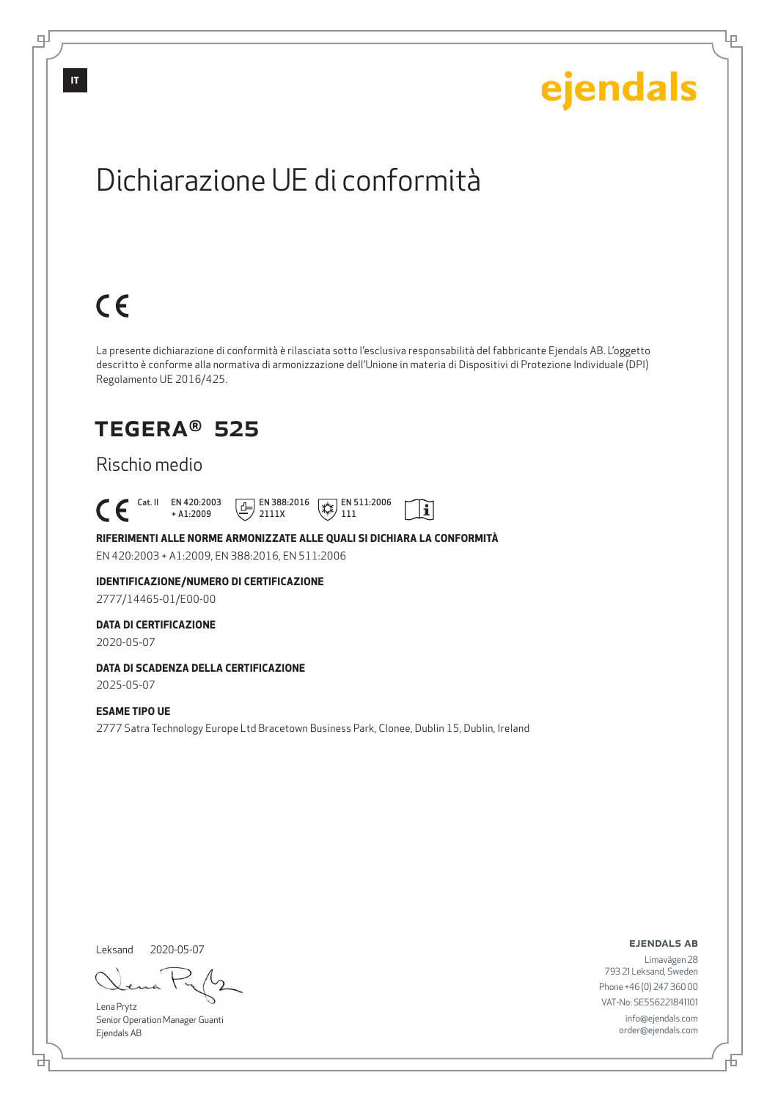Lρ

## Dichiarazione UE di conformità

# $C \in$

La presente dichiarazione di conformità è rilasciata sotto l'esclusiva responsabilità del fabbricante Ejendals AB. L'oggetto descritto è conforme alla normativa di armonizzazione dell'Unione in materia di Dispositivi di Protezione Individuale (DPI) Regolamento UE 2016/425.

 $\mathbf{i}$ 

## TEGERA® 525

#### Rischio medio

 Cat. II EN 420:2003 + A1:2009  $\boxed{1}$  EN 388:2016 2111X  $\mathbb{R}$  EN 511:2006 111

#### **RIFERIMENTI ALLE NORME ARMONIZZATE ALLE QUALI SI DICHIARA LA CONFORMITÀ**

EN 420:2003 + A1:2009, EN 388:2016, EN 511:2006

### **IDENTIFICAZIONE/NUMERO DI CERTIFICAZIONE**

2777/14465-01/E00-00

#### **DATA DI CERTIFICAZIONE**

2020-05-07

#### **DATA DI SCADENZA DELLA CERTIFICAZIONE**

2025-05-07

#### **ESAME TIPO UE**

2777 Satra Technology Europe Ltd Bracetown Business Park, Clonee, Dublin 15, Dublin, Ireland

Leksand 2020-05-07

<u>다</u>

Lena Prytz Senior Operation Manager Guanti Ejendals AB

ejendals ab

Đ

Limavägen 28 793 21 Leksand, Sweden Phone +46 (0) 247 360 00 VAT-No: SE556221841101 info@ejendals.com order@ejendals.com

டி

**IT**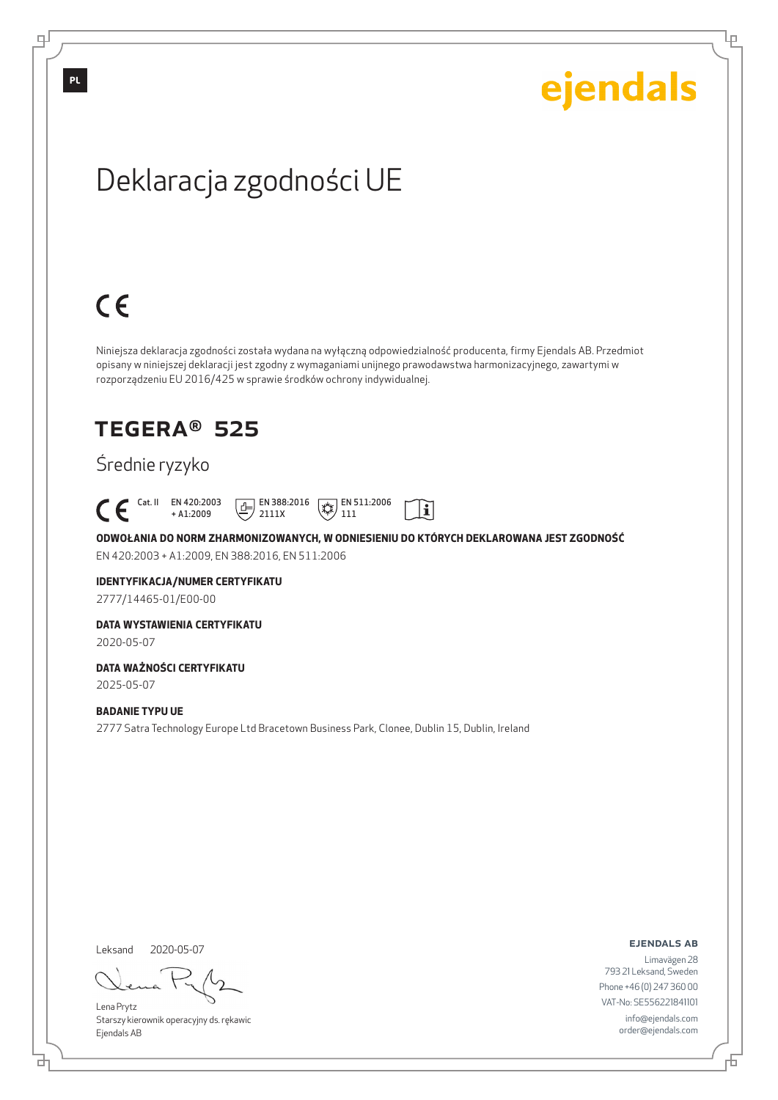Lρ

# Deklaracja zgodności UE

# $C \in$

 $\mathcal C$ 

Niniejsza deklaracja zgodności została wydana na wyłączną odpowiedzialność producenta, firmy Ejendals AB. Przedmiot opisany w niniejszej deklaracji jest zgodny z wymaganiami unijnego prawodawstwa harmonizacyjnego, zawartymi w rozporządzeniu EU 2016/425 w sprawie środków ochrony indywidualnej.

## TEGERA® 525

### Średnie ryzyko

|  | Cat. II EN 420:2003 | <b>FILE EN 388:2016</b> $\sqrt{ }$ <b>EN 511:2006</b> |  |
|--|---------------------|-------------------------------------------------------|--|
|  | $+$ A1 $\cdot$ 2009 | $\equiv$ / 2111X                                      |  |

**ODWOŁANIA DO NORM ZHARMONIZOWANYCH, W ODNIESIENIU DO KTÓRYCH DEKLAROWANA JEST ZGODNOŚĆ** EN 420:2003 + A1:2009, EN 388:2016, EN 511:2006

#### **IDENTYFIKACJA/NUMER CERTYFIKATU**

2777/14465-01/E00-00

#### **DATA WYSTAWIENIA CERTYFIKATU**

2020-05-07

#### **DATA WAŻNOŚCI CERTYFIKATU**

2025-05-07

#### **BADANIE TYPU UE**

2777 Satra Technology Europe Ltd Bracetown Business Park, Clonee, Dublin 15, Dublin, Ireland

Leksand

<u>다</u>

2020-05-07

Lena Prytz Starszy kierownik operacyjny ds. rękawic Ejendals AB

ejendals ab

Б

Limavägen 28 793 21 Leksand, Sweden Phone +46 (0) 247 360 00 VAT-No: SE556221841101 info@ejendals.com order@ejendals.com

**PL**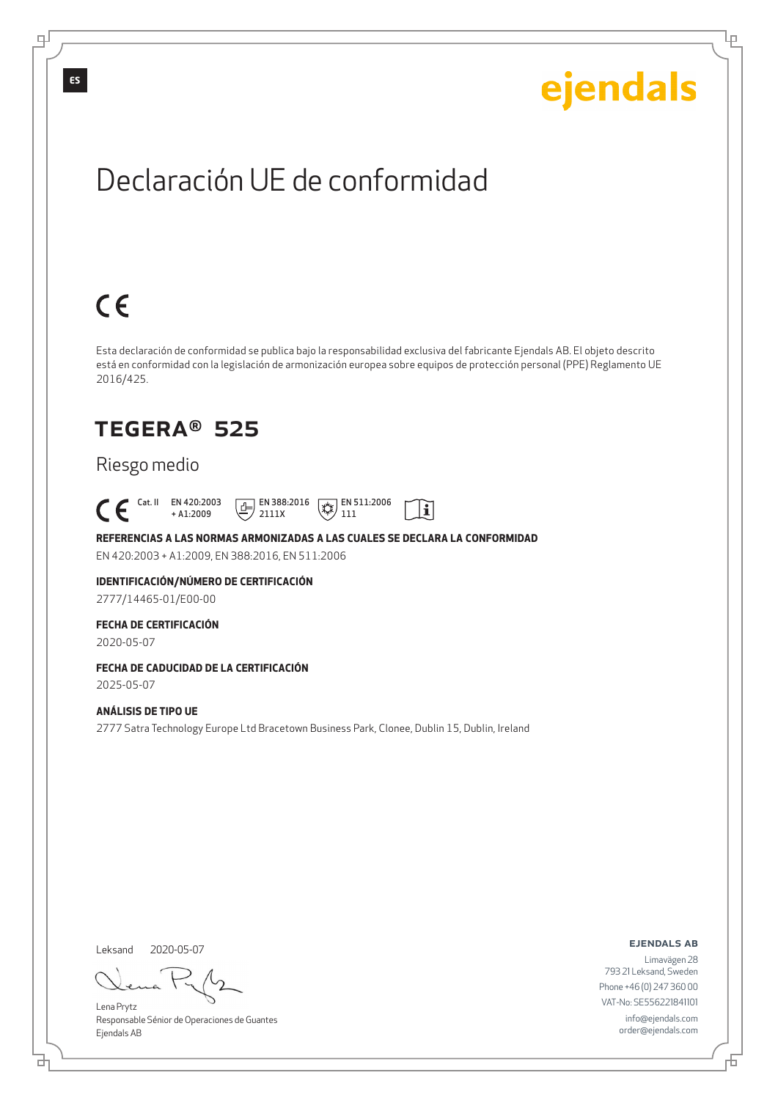Lρ

## Declaración UE de conformidad

# $C \in$

Esta declaración de conformidad se publica bajo la responsabilidad exclusiva del fabricante Ejendals AB. El objeto descrito está en conformidad con la legislación de armonización europea sobre equipos de protección personal (PPE) Reglamento UE 2016/425.

 $\mathbf{i}$ 

## TEGERA® 525

#### Riesgo medio

 Cat. II EN 420:2003 + A1:2009  $\boxed{1}$  EN 388:2016 2111X  $\mathbb{R}$  EN 511:2006 111

**REFERENCIAS A LAS NORMAS ARMONIZADAS A LAS CUALES SE DECLARA LA CONFORMIDAD** EN 420:2003 + A1:2009, EN 388:2016, EN 511:2006

**IDENTIFICACIÓN/NÚMERO DE CERTIFICACIÓN**

2777/14465-01/E00-00

#### **FECHA DE CERTIFICACIÓN**

2020-05-07

### **FECHA DE CADUCIDAD DE LA CERTIFICACIÓN**

2025-05-07

#### **ANÁLISIS DE TIPO UE**

2777 Satra Technology Europe Ltd Bracetown Business Park, Clonee, Dublin 15, Dublin, Ireland

Leksand 2020-05-07

<u>다</u>

Lena Prytz Responsable Sénior de Operaciones de Guantes Ejendals AB

ejendals ab

Б

Limavägen 28 793 21 Leksand, Sweden Phone +46 (0) 247 360 00 VAT-No: SE556221841101 info@ejendals.com order@ejendals.com

டி

**ES**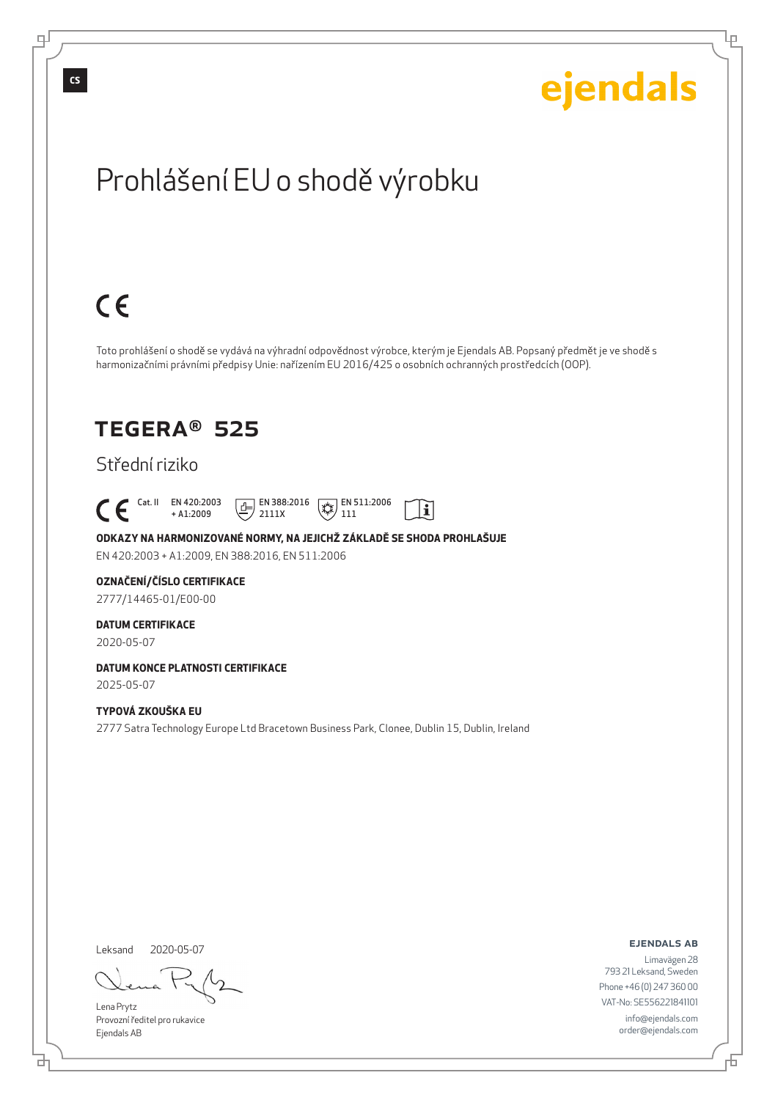டி

Ļμ

# Prohlášení EU o shodě výrobku

# $C \in$

Toto prohlášení o shodě se vydává na výhradní odpovědnost výrobce, kterým je Ejendals AB. Popsaný předmět je ve shodě s harmonizačními právními předpisy Unie: nařízením EU 2016/425 o osobních ochranných prostředcích (OOP).

 $|\tilde{\mathbf{i}}|$ 

## TEGERA® 525

### Střední riziko

 Cat. II EN 420:2003 + A1:2009  $\boxed{1}$  EN 388:2016 2111X  $\mathbb{R}$  EN 511:2006 111

**ODKAZY NA HARMONIZOVANÉ NORMY, NA JEJICHŽ ZÁKLADĚ SE SHODA PROHLAŠUJE** EN 420:2003 + A1:2009, EN 388:2016, EN 511:2006

#### **OZNAČENÍ/ČÍSLO CERTIFIKACE**

2777/14465-01/E00-00

#### **DATUM CERTIFIKACE**

2020-05-07

#### **DATUM KONCE PLATNOSTI CERTIFIKACE** 2025-05-07

#### **TYPOVÁ ZKOUŠKA EU**

2777 Satra Technology Europe Ltd Bracetown Business Park, Clonee, Dublin 15, Dublin, Ireland

Leksand 2020-05-07

Lena Prytz Provozní ředitel pro rukavice Ejendals AB

ejendals ab

Limavägen 28 793 21 Leksand, Sweden Phone +46 (0) 247 360 00 VAT-No: SE556221841101 info@ejendals.com order@ejendals.com

đ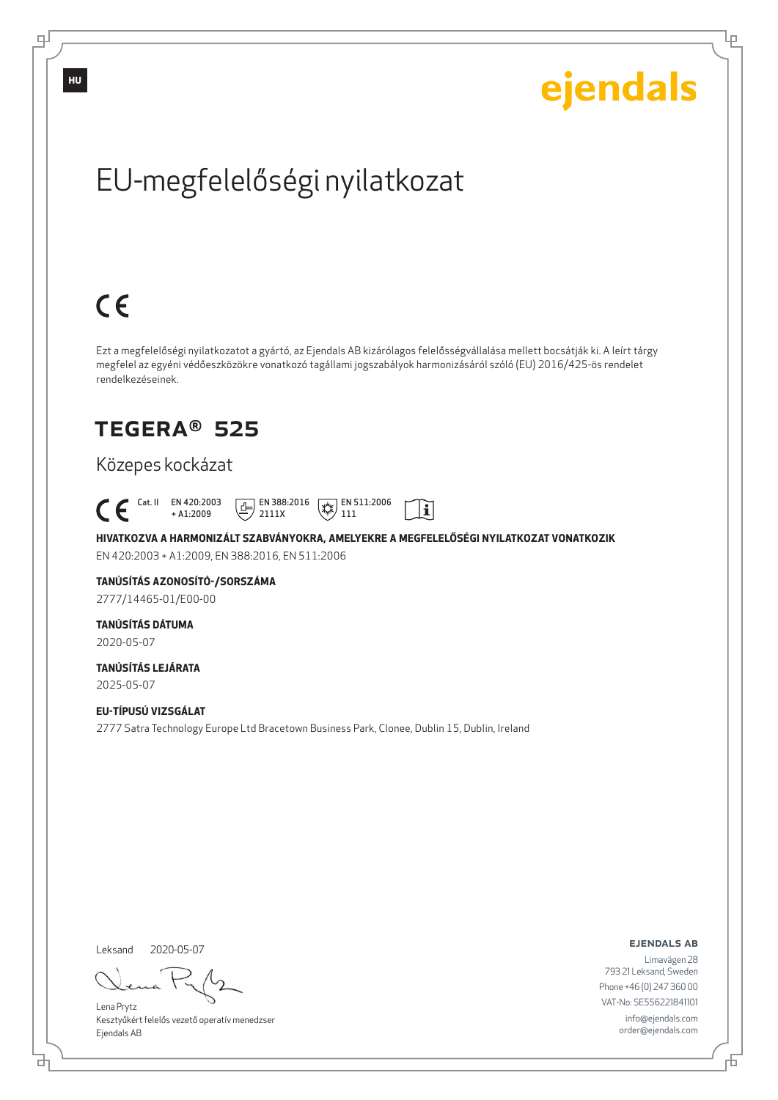Ļμ

# EU-megfelelőségi nyilatkozat

# $C \in$

Ezt a megfelelőségi nyilatkozatot a gyártó, az Ejendals AB kizárólagos felelősségvállalása mellett bocsátják ki. A leírt tárgy megfelel az egyéni védőeszközökre vonatkozó tagállami jogszabályok harmonizásáról szóló (EU) 2016/425-ös rendelet rendelkezéseinek.

## TEGERA® 525

### Közepes kockázat

 Cat. II EN 420:2003  $\boxed{E}$  EN 388:2016  $\mathbb{R}$  EN 511:2006  $\mathbf{i}$ + A1:2009 2111X 111

**HIVATKOZVA A HARMONIZÁLT SZABVÁNYOKRA, AMELYEKRE A MEGFELELŐSÉGI NYILATKOZAT VONATKOZIK** EN 420:2003 + A1:2009, EN 388:2016, EN 511:2006

## **TANÚSÍTÁS AZONOSÍTÓ-/SORSZÁMA**

2777/14465-01/E00-00

#### **TANÚSÍTÁS DÁTUMA**

2020-05-07

#### **TANÚSÍTÁS LEJÁRATA** 2025-05-07

**EU-TÍPUSÚ VIZSGÁLAT** 2777 Satra Technology Europe Ltd Bracetown Business Park, Clonee, Dublin 15, Dublin, Ireland

Leksand 2020-05-07

브

Lena Prytz Kesztyűkért felelős vezető operatív menedzser Ejendals AB

ejendals ab

Б

Limavägen 28 793 21 Leksand, Sweden Phone +46 (0) 247 360 00 VAT-No: SE556221841101 info@ejendals.com order@ejendals.com

டி

**HU**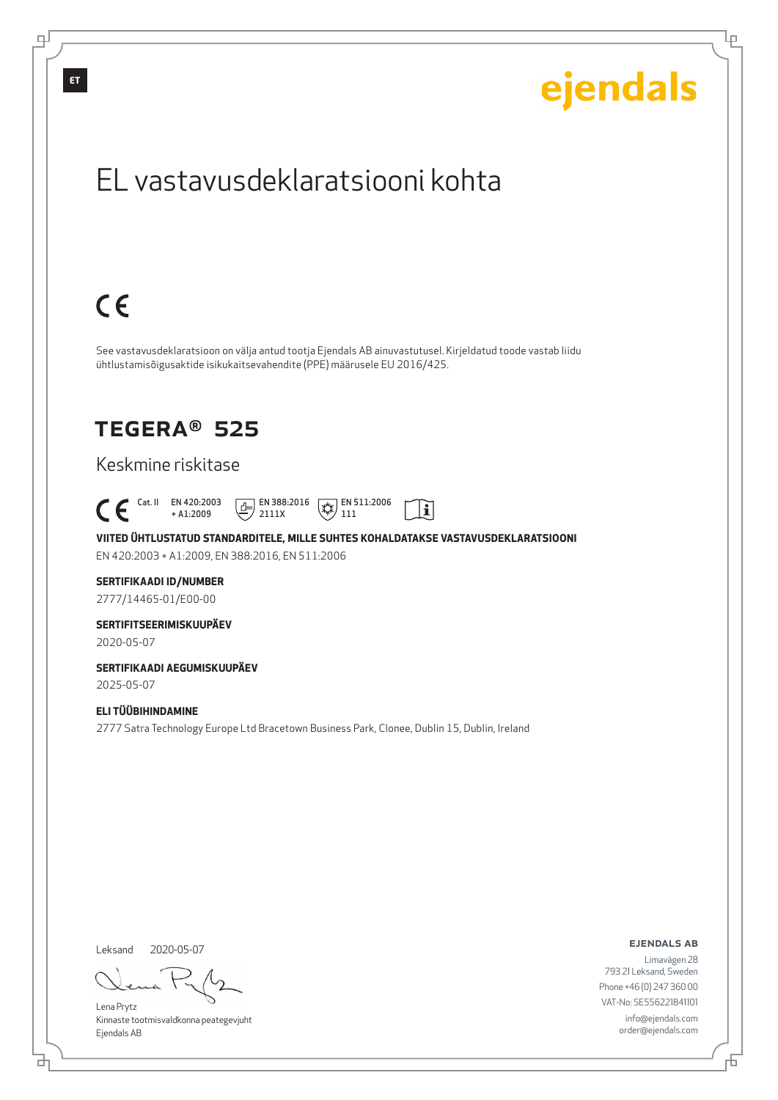

Leksand 2020-05-07

<u>다</u>

Lena Prytz Kinnaste tootmisvaldkonna peategevjuht Ejendals AB

ejendals ab

Limavägen 28 793 21 Leksand, Sweden Phone +46 (0) 247 360 00 VAT-No: SE556221841101 info@ejendals.com order@ejendals.com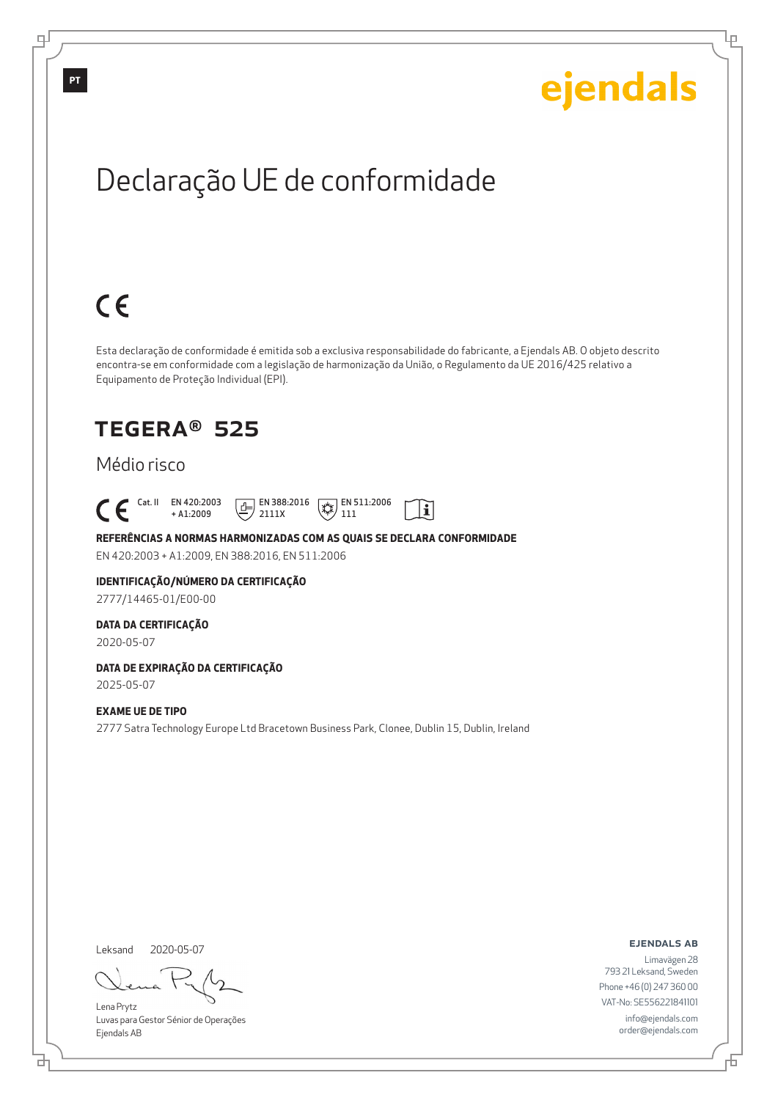Ļμ

# Declaração UE de conformidade

# $C \in$

Esta declaração de conformidade é emitida sob a exclusiva responsabilidade do fabricante, a Ejendals AB. O objeto descrito encontra-se em conformidade com a legislação de harmonização da União, o Regulamento da UE 2016/425 relativo a Equipamento de Proteção Individual (EPI).

 $|\tilde{\mathbf{i}}|$ 

## TEGERA® 525

#### Médio risco

 Cat. II EN 420:2003 + A1:2009  $E$  EN 388:2016 2111X  $\mathbb{R}$  EN 511:2006 111

**REFERÊNCIAS A NORMAS HARMONIZADAS COM AS QUAIS SE DECLARA CONFORMIDADE** EN 420:2003 + A1:2009, EN 388:2016, EN 511:2006

### **IDENTIFICAÇÃO/NÚMERO DA CERTIFICAÇÃO**

2777/14465-01/E00-00

#### **DATA DA CERTIFICAÇÃO**

2020-05-07

## **DATA DE EXPIRAÇÃO DA CERTIFICAÇÃO**

2025-05-07

#### **EXAME UE DE TIPO**

2777 Satra Technology Europe Ltd Bracetown Business Park, Clonee, Dublin 15, Dublin, Ireland

Leksand 2020-05-07

<u>다</u>

Lena Prytz Luvas para Gestor Sénior de Operações Ejendals AB

ejendals ab

Б

Limavägen 28 793 21 Leksand, Sweden Phone +46 (0) 247 360 00 VAT-No: SE556221841101 info@ejendals.com order@ejendals.com

**PT**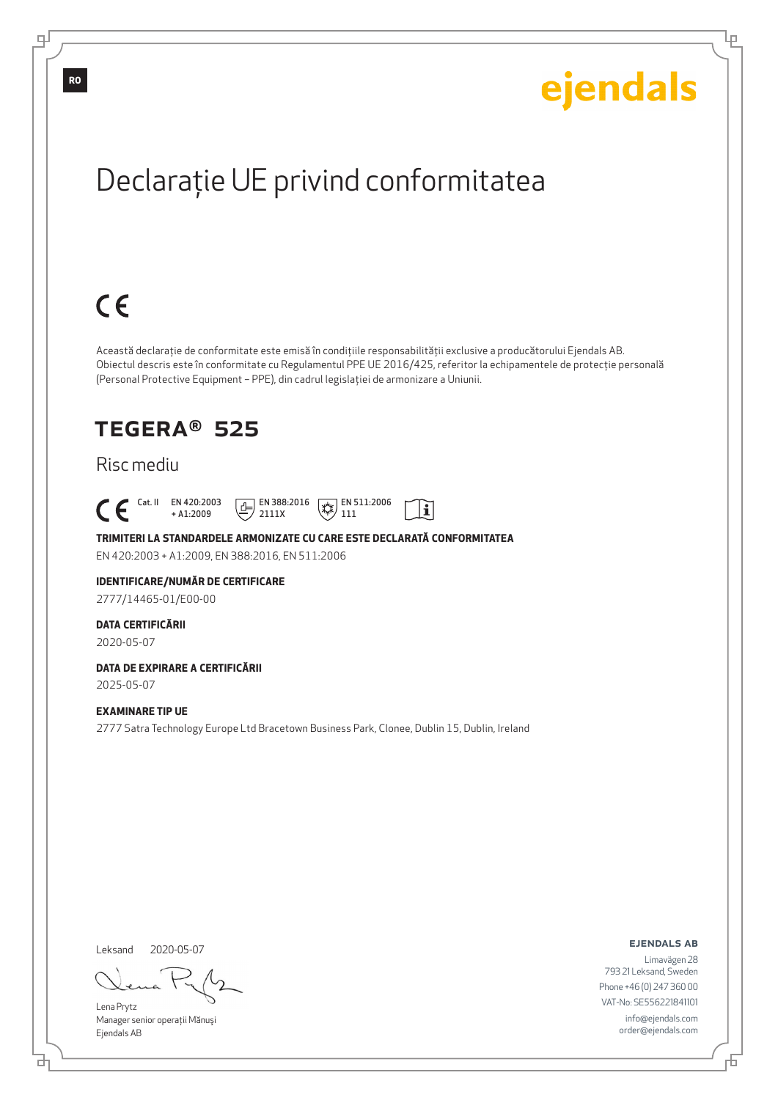Ļμ

# Declaraţie UE privind conformitatea

# $C \in$

Această declaraţie de conformitate este emisă în condiţiile responsabilităţii exclusive a producătorului Ejendals AB. Obiectul descris este în conformitate cu Regulamentul PPE UE 2016/425, referitor la echipamentele de protecţie personală (Personal Protective Equipment – PPE), din cadrul legislaţiei de armonizare a Uniunii.

 $|\tilde{\mathbf{i}}|$ 

## TEGERA® 525

#### Risc mediu

 Cat. II EN 420:2003 + A1:2009  $E$  EN 388:2016 2111X  $\mathbb{R}$  EN 511:2006 111

**TRIMITERI LA STANDARDELE ARMONIZATE CU CARE ESTE DECLARATĂ CONFORMITATEA** EN 420:2003 + A1:2009, EN 388:2016, EN 511:2006

#### **IDENTIFICARE/NUMĂR DE CERTIFICARE**

2777/14465-01/E00-00

#### **DATA CERTIFICĂRII**

2020-05-07

### **DATA DE EXPIRARE A CERTIFICĂRII**

2025-05-07

#### **EXAMINARE TIP UE**

2777 Satra Technology Europe Ltd Bracetown Business Park, Clonee, Dublin 15, Dublin, Ireland

Leksand 2020-05-07

브

Lena Prytz Manager senior operaţii Mănuşi Ejendals AB

ejendals ab

Б

Limavägen 28 793 21 Leksand, Sweden Phone +46 (0) 247 360 00 VAT-No: SE556221841101 info@ejendals.com order@ejendals.com

**RO**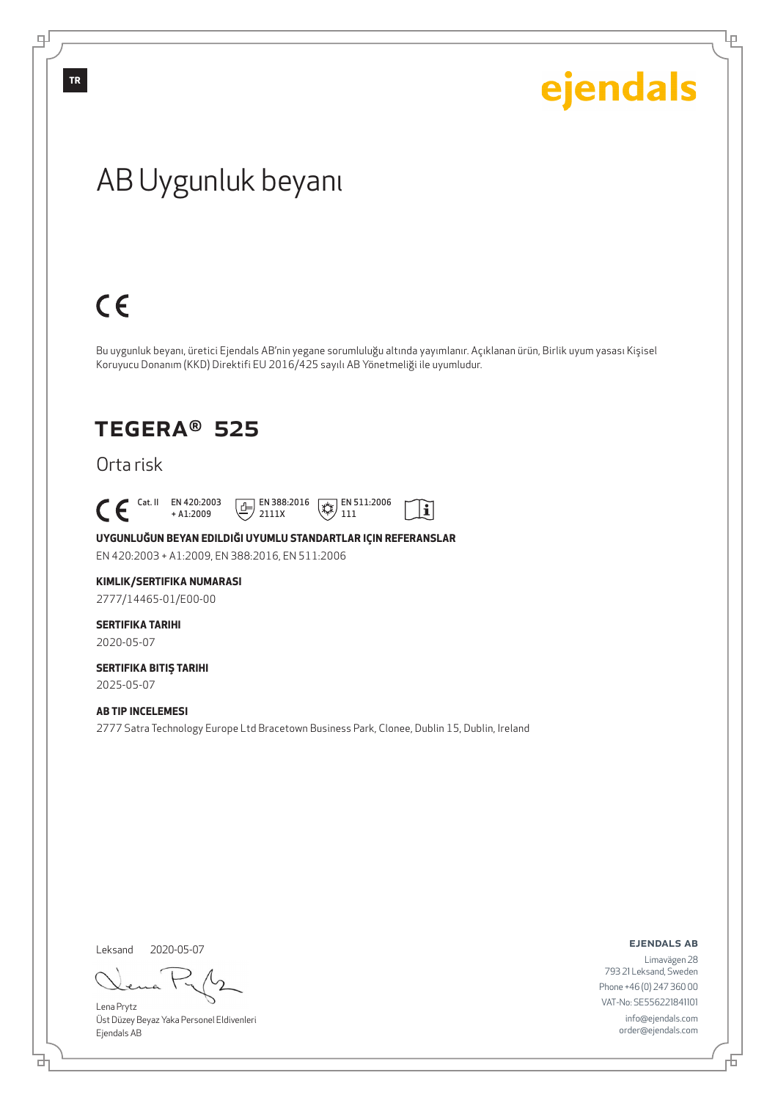Ļμ

## AB Uygunluk beyanı

# $C \in$

Bu uygunluk beyanı, üretici Ejendals AB'nin yegane sorumluluğu altında yayımlanır. Açıklanan ürün, Birlik uyum yasası Kişisel Koruyucu Donanım (KKD) Direktifi EU 2016/425 sayılı AB Yönetmeliği ile uyumludur.

## TEGERA® 525

Orta risk

 $\begin{bmatrix} \text{Cat. II} & \text{EN } 420:2003 \\ + A1:2009 \end{bmatrix}$ 

+ A1:2009  $\boxed{E}$  EN 388:2016 2111X



 $|\tilde{\mathbf{i}}|$ 

**UYGUNLUĞUN BEYAN EDILDIĞI UYUMLU STANDARTLAR IÇIN REFERANSLAR**

EN 420:2003 + A1:2009, EN 388:2016, EN 511:2006

#### **KIMLIK/SERTIFIKA NUMARASI**

2777/14465-01/E00-00

### **SERTIFIKA TARIHI**

2020-05-07

#### **SERTIFIKA BITIŞ TARIHI** 2025-05-07

#### **AB TIP INCELEMESI**

2777 Satra Technology Europe Ltd Bracetown Business Park, Clonee, Dublin 15, Dublin, Ireland

Leksand 2020-05-07

đ

Lena Prytz Üst Düzey Beyaz Yaka Personel Eldivenleri Ejendals AB

ejendals ab

Limavägen 28 793 21 Leksand, Sweden Phone +46 (0) 247 360 00 VAT-No: SE556221841101 info@ejendals.com order@ejendals.com

டி

**TR**

舌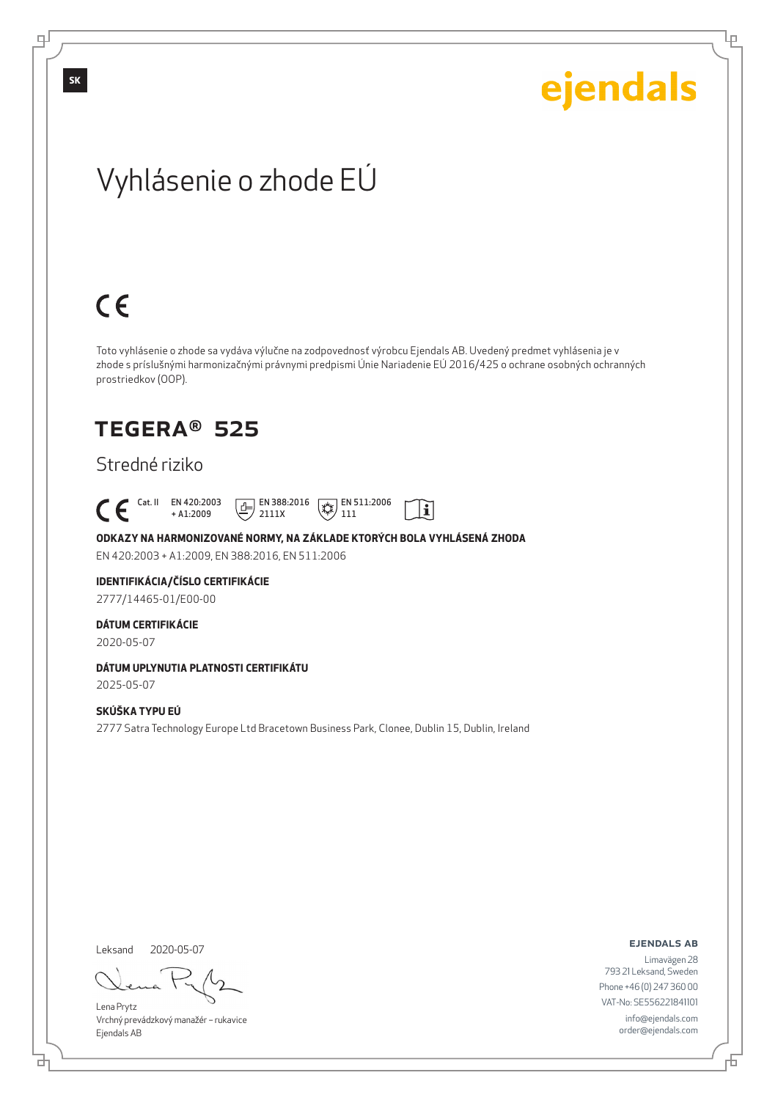Lρ

## Vyhlásenie o zhode EÚ

# $C \in$

Toto vyhlásenie o zhode sa vydáva výlučne na zodpovednosť výrobcu Ejendals AB. Uvedený predmet vyhlásenia je v zhode s príslušnými harmonizačnými právnymi predpismi Únie Nariadenie EÚ 2016/425 o ochrane osobných ochranných prostriedkov (OOP).

 $|\tilde{\mathbf{i}}|$ 

## TEGERA® 525

#### Stredné riziko

 Cat. II EN 420:2003 + A1:2009  $\boxed{1}$  EN 388:2016 2111X  $\mathbb{R}$  EN 511:2006 111

**ODKAZY NA HARMONIZOVANÉ NORMY, NA ZÁKLADE KTORÝCH BOLA VYHLÁSENÁ ZHODA** EN 420:2003 + A1:2009, EN 388:2016, EN 511:2006

### **IDENTIFIKÁCIA/ČÍSLO CERTIFIKÁCIE**

2777/14465-01/E00-00

#### **DÁTUM CERTIFIKÁCIE**

2020-05-07

#### **DÁTUM UPLYNUTIA PLATNOSTI CERTIFIKÁTU**

2025-05-07

#### **SKÚŠKA TYPU EÚ**

2777 Satra Technology Europe Ltd Bracetown Business Park, Clonee, Dublin 15, Dublin, Ireland

Leksand 2020-05-07

<u>다</u>

Lena Prytz Vrchný prevádzkový manažér – rukavice Ejendals AB

#### ejendals ab

Đ

Limavägen 28 793 21 Leksand, Sweden Phone +46 (0) 247 360 00 VAT-No: SE556221841101 info@ejendals.com order@ejendals.com

டி

**SK**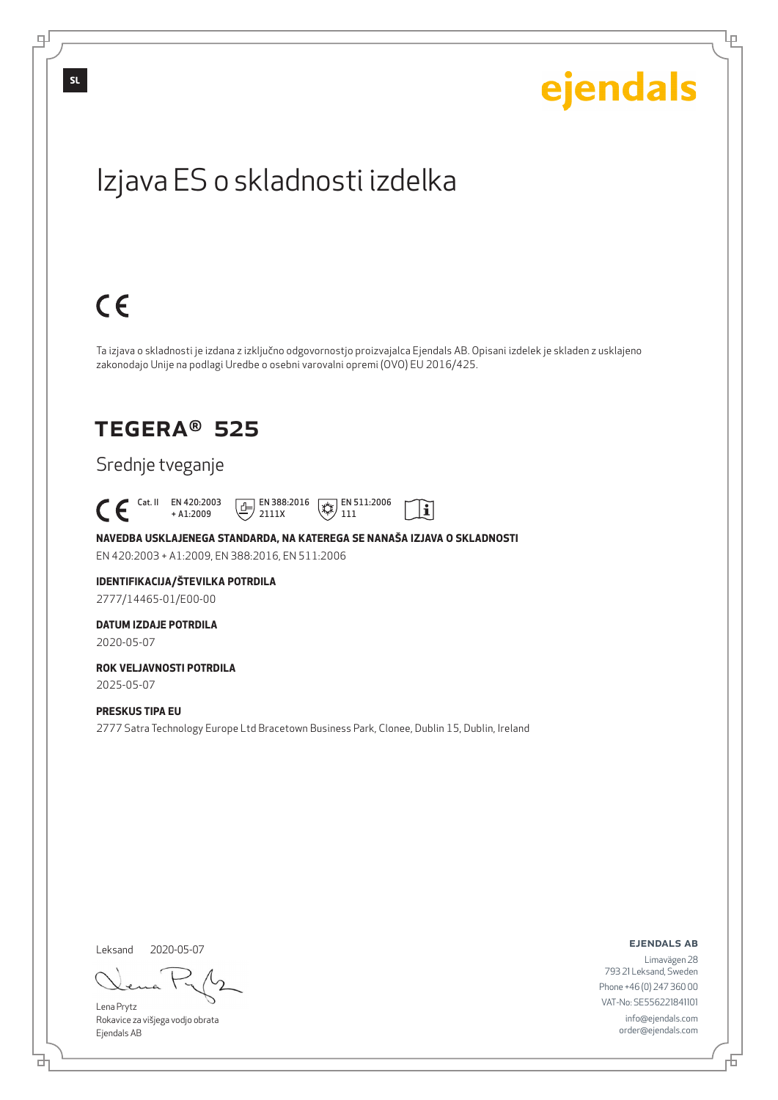Lρ

## Izjava ES o skladnosti izdelka

# $C \in$

Ta izjava o skladnosti je izdana z izključno odgovornostjo proizvajalca Ejendals AB. Opisani izdelek je skladen z usklajeno zakonodajo Unije na podlagi Uredbe o osebni varovalni opremi (OVO) EU 2016/425.

li

## TEGERA® 525

#### Srednje tveganje

 Cat. II EN 420:2003 + A1:2009  $\boxed{E}$  EN 388:2016 2111X  $\mathbb{R}$  EN 511:2006 111

**NAVEDBA USKLAJENEGA STANDARDA, NA KATEREGA SE NANAŠA IZJAVA O SKLADNOSTI** EN 420:2003 + A1:2009, EN 388:2016, EN 511:2006

#### **IDENTIFIKACIJA/ŠTEVILKA POTRDILA** 2777/14465-01/E00-00

#### **DATUM IZDAJE POTRDILA** 2020-05-07

#### **ROK VELJAVNOSTI POTRDILA** 2025-05-07

**PRESKUS TIPA EU**

2777 Satra Technology Europe Ltd Bracetown Business Park, Clonee, Dublin 15, Dublin, Ireland

Leksand 2020-05-07

<u>다</u>

Lena Prytz Rokavice za višjega vodjo obrata Ejendals AB

ejendals ab

Limavägen 28 793 21 Leksand, Sweden Phone +46 (0) 247 360 00 VAT-No: SE556221841101 info@ejendals.com order@ejendals.com

டி

**SL**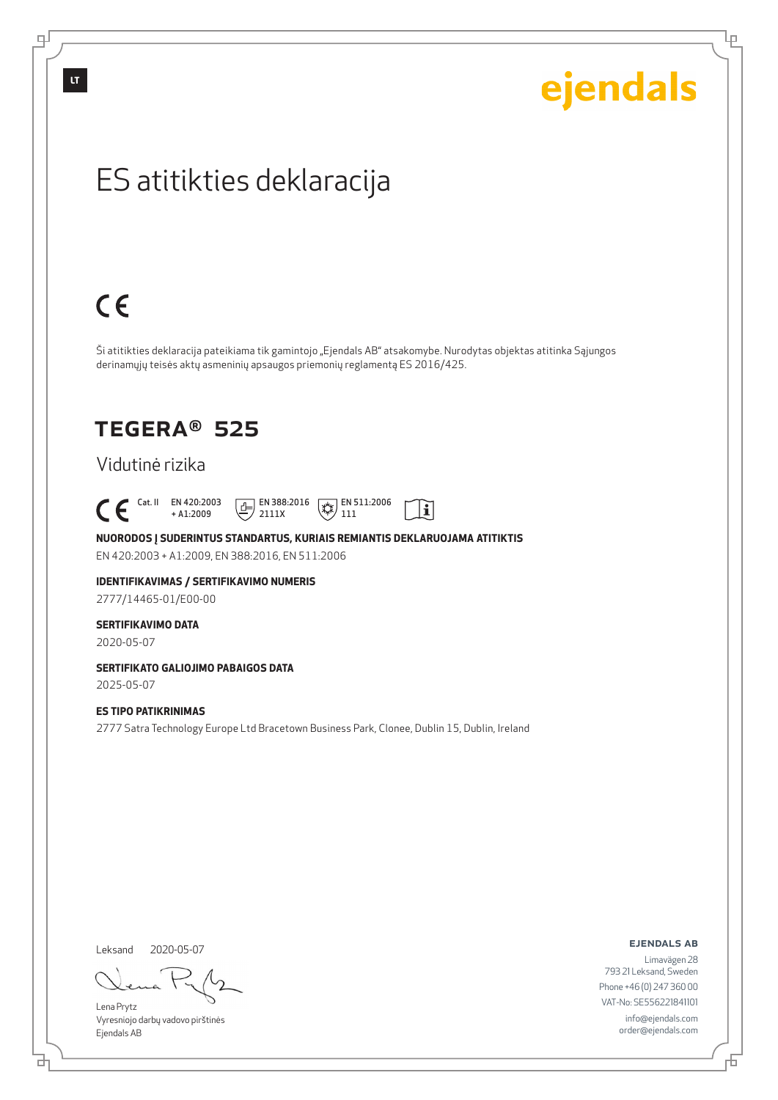டி

# ejendals

Lρ

## ES atitikties deklaracija

# $C \in$

Ši atitikties deklaracija pateikiama tik gamintojo "Ejendals AB" atsakomybe. Nurodytas objektas atitinka Sąjungos derinamųjų teisės aktų asmeninių apsaugos priemonių reglamentą ES 2016/425.

 $|\tilde{\mathbf{i}}|$ 

## TEGERA® 525

#### Vidutinė rizika

 $\begin{bmatrix} \mathsf{Cat} & \mathsf{II} & \mathsf{EN} & 420:2003 \\ + & \mathsf{A} & 1:2009 \end{bmatrix}$ + A1:2009  $\boxed{1}$  EN 388:2016 2111X  $\mathbb{R}$  EN 511:2006 111

**NUORODOS Į SUDERINTUS STANDARTUS, KURIAIS REMIANTIS DEKLARUOJAMA ATITIKTIS** EN 420:2003 + A1:2009, EN 388:2016, EN 511:2006

## **IDENTIFIKAVIMAS / SERTIFIKAVIMO NUMERIS**

2777/14465-01/E00-00

#### **SERTIFIKAVIMO DATA**

2020-05-07

#### **SERTIFIKATO GALIOJIMO PABAIGOS DATA**

2025-05-07

#### **ES TIPO PATIKRINIMAS**

2777 Satra Technology Europe Ltd Bracetown Business Park, Clonee, Dublin 15, Dublin, Ireland

Leksand 2020-05-07

は

Lena Prytz Vyresniojo darbų vadovo pirštinės Ejendals AB

ejendals ab

Б

Limavägen 28 793 21 Leksand, Sweden Phone +46 (0) 247 360 00 VAT-No: SE556221841101 info@ejendals.com order@ejendals.com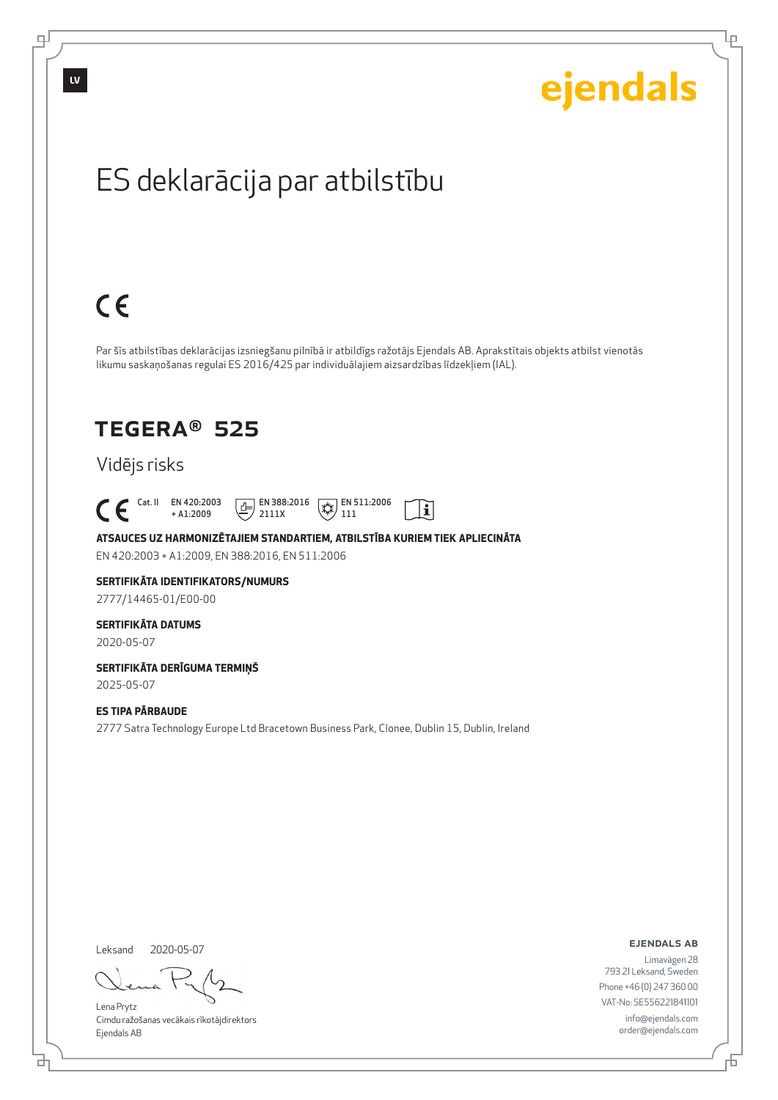

Lρ

## ES deklarācija par atbilstību

# $C \in$

Par šīs atbilstības deklarācijas izsniegšanu pilnībā ir atbildīgs ražotājs Ejendals AB. Aprakstītais objekts atbilst vienotās likumu saskaņošanas regulai ES 2016/425 par individuālajiem aizsardzības līdzekļiem (IAL).

> $\mathbb{R}$  EN 511:2006 111

 $\mathbf{i}$ 

## TEGERA® 525

## Vidējs risks

 Cat. II EN 420:2003 + A1:2009  $E$  EN 388:2016

**ATSAUCES UZ HARMONIZĒTAJIEM STANDARTIEM, ATBILSTĪBA KURIEM TIEK APLIECINĀTA** EN 420:2003 + A1:2009, EN 388:2016, EN 511:2006

2111X

## **SERTIFIKĀTA IDENTIFIKATORS/NUMURS**

2777/14465-01/E00-00

#### **SERTIFIKĀTA DATUMS**

2020-05-07

#### **SERTIFIKĀTA DERĪGUMA TERMIŅŠ** 2025-05-07

**ES TIPA PĀRBAUDE**

2777 Satra Technology Europe Ltd Bracetown Business Park, Clonee, Dublin 15, Dublin, Ireland

Leksand 2020-05-07

は

Lena Prytz Cimdu ražošanas vecākais rīkotājdirektors Ejendals AB

ejendals ab

Б

Limavägen 28 793 21 Leksand, Sweden Phone +46 (0) 247 360 00 VAT-No: SE556221841101 info@ejendals.com order@ejendals.com

டி

**LV**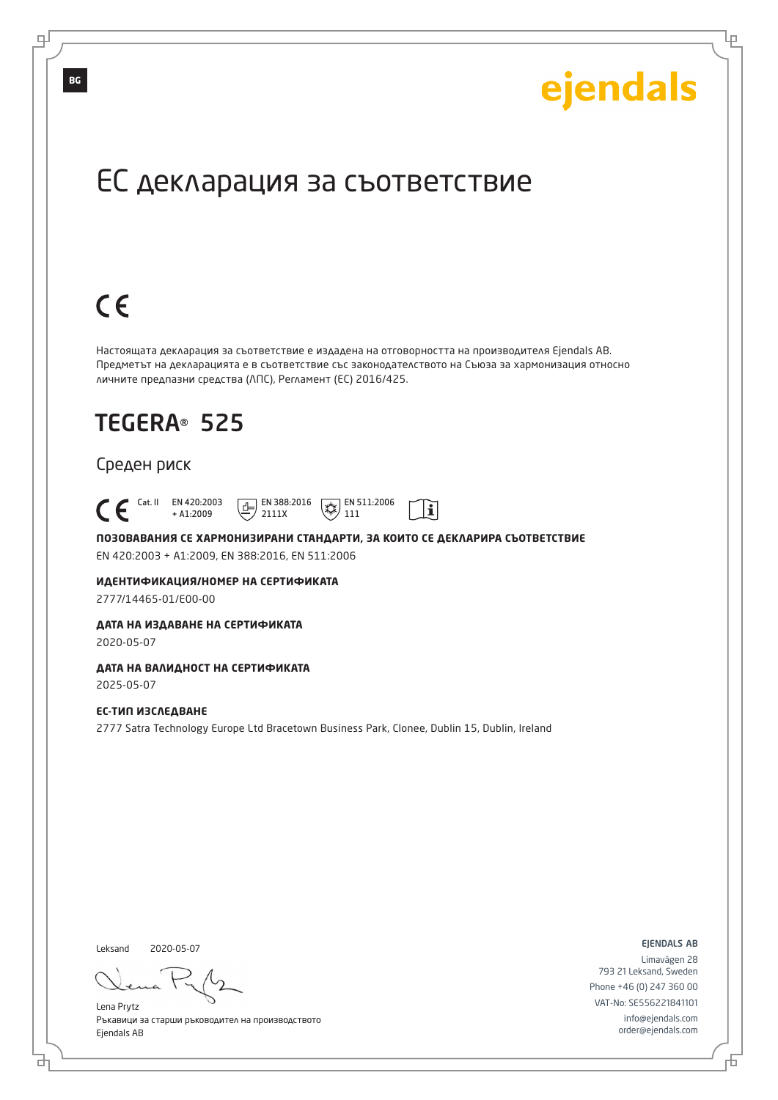Lр

## ЕС декларация за съответствие

# $C \in$

Настоящата декларация за съответствие е издадена на отговорността на производителя Ejendals AB. Предметът на декларацията е в съответствие със законодателството на Съюза за хармонизация относно личните предпазни средства (ЛПС), Регламент (ЕС) 2016/425.

## TEGERA® 525

#### Среден риск

 Cat. II EN 420:2003  $\boxed{E}$  EN 388:2016  $\mathbb{R}$  EN 511:2006  $\mathbf{i}$ + A1:2009 2111X 111

**ПОЗОВАВАНИЯ СЕ ХАРМОНИЗИРАНИ СТАНДАРТИ, ЗА КОИТО СЕ ДЕКЛАРИРА СЪОТВЕТСТВИЕ** EN 420:2003 + A1:2009, EN 388:2016, EN 511:2006

**ИДЕНТИФИКАЦИЯ/НОМЕР НА СЕРТИФИКАТА**

2777/14465-01/E00-00

#### **ДАТА НА ИЗДАВАНЕ НА СЕРТИФИКАТА**

2020-05-07

#### **ДАТА НА ВАЛИДНОСТ НА СЕРТИФИКАТА**

2025-05-07

#### **ЕС-ТИП ИЗСЛЕДВАНЕ**

2777 Satra Technology Europe Ltd Bracetown Business Park, Clonee, Dublin 15, Dublin, Ireland

Leksand 2020-05-07

브

Lena Prytz Ръкавици за старши ръководител на производството Ejendals AB

ejendals ab

Đ

Limavägen 28 793 21 Leksand, Sweden Phone +46 (0) 247 360 00 VAT-No: SE556221841101 info@ejendals.com order@ejendals.com

**BG**